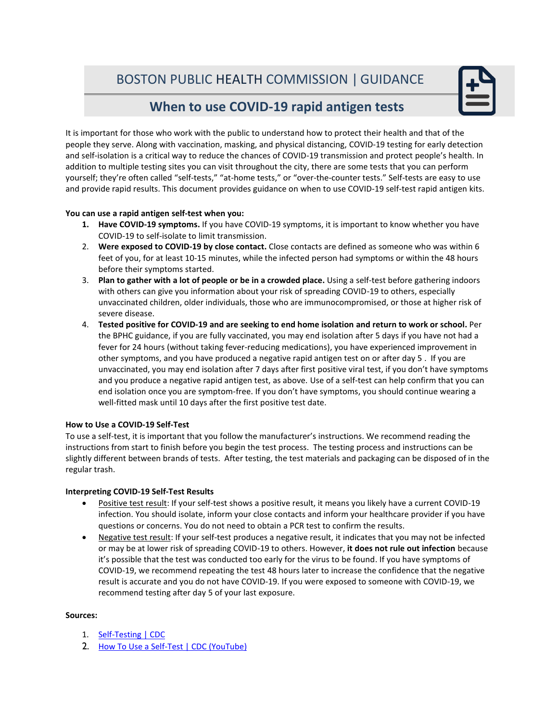# BOSTON PUBLIC HEALTH COMMISSION |GUIDANCE



## **When to use COVID-19 rapid antigen tests**

It is important for those who work with the public to understand how to protect their health and that of the people they serve. Along with vaccination, masking, and physical distancing, COVID-19 testing for early detection and self-isolation is a critical way to reduce the chances of COVID-19 transmission and protect people's health. In addition to multiple testing sites you can visit throughout the city, there are some tests that you can perform yourself; they're often called "self-tests," "at-home tests," or "over-the-counter tests." Self-tests are easy to use and provide rapid results. This document provides guidance on when to use COVID-19 self-test rapid antigen kits.

### **You can use a rapid antigen self-test when you:**

- **1. Have COVID-19 symptoms.** If you have COVID-19 symptoms, it is important to know whether you have COVID-19 to self-isolate to limit transmission.
- 2. **Were exposed to COVID-19 by close contact.** Close contacts are defined as someone who was within 6 feet of you, for at least 10-15 minutes, while the infected person had symptoms or within the 48 hours before their symptoms started.
- 3. **Plan to gather with a lot of people or be in a crowded place.** Using a self-test before gathering indoors with others can give you information about your risk of spreading COVID-19 to others, especially unvaccinated children, older individuals, those who are immunocompromised, or those at higher risk of severe disease.
- 4. **Tested positive for COVID-19 and are seeking to end home isolation and return to work or school.** Per the BPHC guidance, if you are fully vaccinated, you may end isolation after 5 days if you have not had a fever for 24 hours (without taking fever-reducing medications), you have experienced improvement in other symptoms, and you have produced a negative rapid antigen test on or after day 5 . If you are unvaccinated, you may end isolation after 7 days after first positive viral test, if you don't have symptoms and you produce a negative rapid antigen test, as above. Use of a self-test can help confirm that you can end isolation once you are symptom-free. If you don't have symptoms, you should continue wearing a well-fitted mask until 10 days after the first positive test date.

### **How to Use a COVID-19 Self-Test**

To use a self-test, it is important that you follow the manufacturer's instructions. We recommend reading the instructions from start to finish before you begin the test process. The testing process and instructions can be slightly different between brands of tests. After testing, the test materials and packaging can be disposed of in the regular trash.

### **Interpreting COVID-19 Self-Test Results**

- Positive test result: If your self-test shows a positive result, it means you likely have a current COVID-19 infection. You should isolate, inform your close contacts and inform your healthcare provider if you have questions or concerns. You do not need to obtain a PCR test to confirm the results.
- Negative test result: If your self-test produces a negative result, it indicates that you may not be infected or may be at lower risk of spreading COVID-19 to others. However, **it does not rule out infection** because it's possible that the test was conducted too early for the virus to be found. If you have symptoms of COVID-19, we recommend repeating the test 48 hours later to increase the confidence that the negative result is accurate and you do not have COVID-19. If you were exposed to someone with COVID-19, we recommend testing after day 5 of your last exposure.

#### **Sources:**

- 1. [Self-Testing | CDC](https://www.cdc.gov/coronavirus/2019-ncov/testing/self-testing.html)
- 2. [How To Use a Self-Test | CDC \(YouTube\)](https://www.youtube.com/watch?v=6Pxk6ZcCfz8)